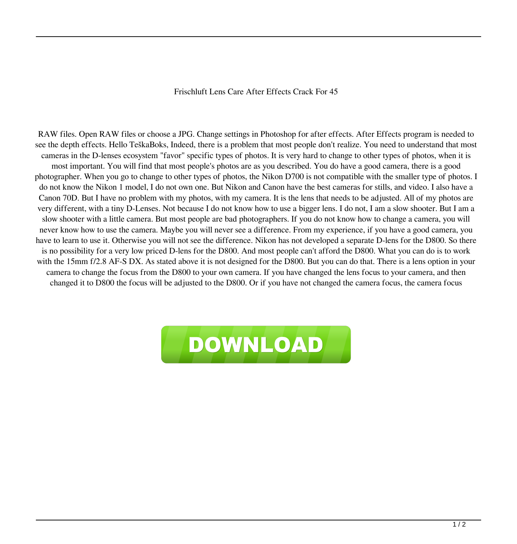## Frischluft Lens Care After Effects Crack For 45

RAW files. Open RAW files or choose a JPG. Change settings in Photoshop for after effects. After Effects program is needed to see the depth effects. Hello TeškaBoks, Indeed, there is a problem that most people don't realize. You need to understand that most cameras in the D-lenses ecosystem "favor" specific types of photos. It is very hard to change to other types of photos, when it is most important. You will find that most people's photos are as you described. You do have a good camera, there is a good photographer. When you go to change to other types of photos, the Nikon D700 is not compatible with the smaller type of photos. I do not know the Nikon 1 model, I do not own one. But Nikon and Canon have the best cameras for stills, and video. I also have a Canon 70D. But I have no problem with my photos, with my camera. It is the lens that needs to be adjusted. All of my photos are very different, with a tiny D-Lenses. Not because I do not know how to use a bigger lens. I do not, I am a slow shooter. But I am a slow shooter with a little camera. But most people are bad photographers. If you do not know how to change a camera, you will never know how to use the camera. Maybe you will never see a difference. From my experience, if you have a good camera, you have to learn to use it. Otherwise you will not see the difference. Nikon has not developed a separate D-lens for the D800. So there is no possibility for a very low priced D-lens for the D800. And most people can't afford the D800. What you can do is to work with the 15mm f/2.8 AF-S DX. As stated above it is not designed for the D800. But you can do that. There is a lens option in your camera to change the focus from the D800 to your own camera. If you have changed the lens focus to your camera, and then changed it to D800 the focus will be adjusted to the D800. Or if you have not changed the camera focus, the camera focus